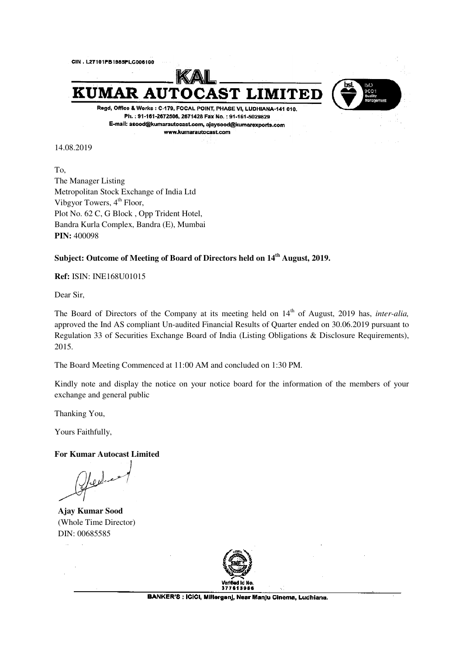

14.08.2019

To, The Manager Listing Metropolitan Stock Exchange of India Ltd Vibgyor Towers,  $4<sup>th</sup>$  Floor, Plot No. 62 C, G Block , Opp Trident Hotel, Bandra Kurla Complex, Bandra (E), Mumbai **PIN:** 400098

## **Subject: Outcome of Meeting of Board of Directors held on 14th August, 2019.**

**Ref:** ISIN: INE168U01015

Dear Sir,

The Board of Directors of the Company at its meeting held on 14<sup>th</sup> of August, 2019 has, *inter-alia*, approved the Ind AS compliant Un-audited Financial Results of Quarter ended on 30.06.2019 pursuant to Regulation 33 of Securities Exchange Board of India (Listing Obligations & Disclosure Requirements), 2015.

The Board Meeting Commenced at 11:00 AM and concluded on 1:30 PM.

Kindly note and display the notice on your notice board for the information of the members of your exchange and general public

Thanking You,

Yours Faithfully,

## **For Kumar Autocast Limited**

Hedes

**Ajay Kumar Sood**  (Whole Time Director) DIN: 00685585

 $\mathbb{R}^2$ 

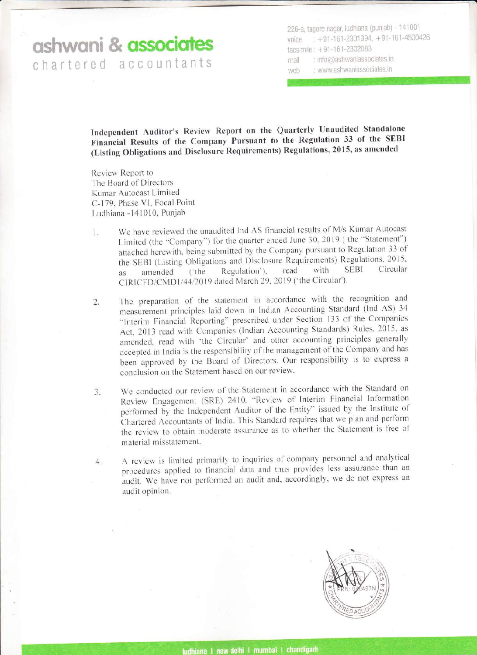## ashwani & **associates** chartered accountants

226-a, tagore nagar, ludhiana (punjab) - 141001 voice  $: +91-161-2301394, +91-161-4500426$ facsimile :  $+91 - 161 - 2302083$ mail : info@ashwaniassociates.in web : www.ashwaniassociates.in

Independent Auditor's Review Report on the Quarterly Unaudited Standalone Financial Results of the Company Pursuant to the Regulation 33 of the SEBI (Listing Obligations and Disclosure Requirements) Regulations, 2015, as amended

Review Report to The Board of Directors Kumar Autocast Limited C-179, Phase VI, Focal Point Ludhiana -141010, Punjab

- <sup>I</sup>. We have reviewed the unaudited lnd AS financial results of M/s Kumar Autocast Limited (the "Company") for the quarter ended June 30, 2019 (the "Statement") attached herewith, being submitted by the Company pursuant to Regulation 33 of the SEBI (Listing Obligations and Disclosure Requirements) Regulations. 2015. as amended ('the Regulation'), read with SEBI Circular CIRICFD/CMD1/44/2019 dated March 29, 2019 ('the Circular').
- 2. The preparation of the statement in accordance with the recognition and measurement principles laid down in Indian Accounting Standard (lnd AS) <sup>34</sup> "Interim Financial Reporting" prescribed under Section 133 of the Companies Act, 2013 read with Companies (Indian Accounting Standards) Rules, 2015, as amended, read with 'the Circular' and other accounting principles generally accepted in India is the responsibility of the management of the Company and has been approved by the Board of Directors. Our responsibility is to express <sup>a</sup> conclusion on the Statement based on our review.
- 3. We conducted our review of the Statement in accordance with the Standard on Review Engagement (SRE) 2410, "Review of Interim Financial Information performed by the Independent Auditor of the Entity" issued by the Institute of Chartered Accountants of India. This Standard requires that we plan and perfonn the review to obtain moderate assurance as to whether the Statement is free of material misstatement.
- 4. A review is limited primarily to inquiries of company personnel and analytical procedures applied to financial data and thus provides less assurance than an audit. We have not performed an audit and, accordingly, we do not express an audit opinion.

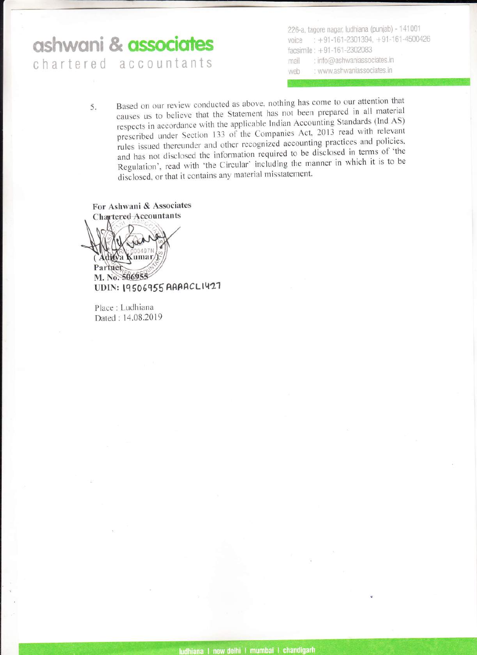## ashwani & **associates**

chartered accountants

226-a, tagore nagar, ludhiana (punjab) - 141001 voice :  $+91-161-2301394$ ,  $+91-161-4500426$ facsimile :  $+91 - 161 - 2302083$ mail : info@ashwaniassociates.in web : www.ashwaniassociates.in

Based on our review conducted as above. nothing has come to our attention that causes us to believe that the Statement has not been prepared in all material respects in accordance with the applicable Indian Accounting Standards (Ind AS) prescribed under Section 133 of the Companies Act, 2013 read with relevant rules issued thereunder and other recognized accounting practices and policies, and has not disclosed the information required to be disclosed in terms of 'the Regulation', read with 'the Circular' including the manner in which it is to be disclosed, or that it contains any material misstatement. 5.

For Ashwani & Associates

Adioa Kumar Partner M. No. 506955 UDIN: 19506955 AAAACLI427

Place : Ludhiana Dated : 14.08.2019